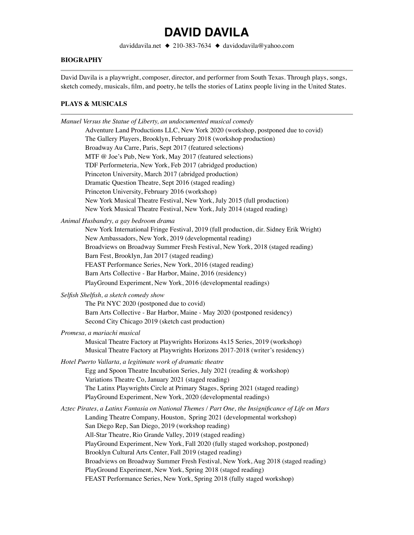daviddavila.net ◆ 210-383-7634 ◆ davidodavila@yahoo.com

### **BIOGRAPHY**

David Davila is a playwright, composer, director, and performer from South Texas. Through plays, songs, sketch comedy, musicals, film, and poetry, he tells the stories of Latinx people living in the United States.

#### **PLAYS & MUSICALS**

| Manuel Versus the Statue of Liberty, an undocumented musical comedy                                                                                |  |  |  |
|----------------------------------------------------------------------------------------------------------------------------------------------------|--|--|--|
| Adventure Land Productions LLC, New York 2020 (workshop, postponed due to covid)                                                                   |  |  |  |
| The Gallery Players, Brooklyn, February 2018 (workshop production)                                                                                 |  |  |  |
| Broadway Au Carre, Paris, Sept 2017 (featured selections)                                                                                          |  |  |  |
| MTF @ Joe's Pub, New York, May 2017 (featured selections)                                                                                          |  |  |  |
| TDF Performeteria, New York, Feb 2017 (abridged production)                                                                                        |  |  |  |
| Princeton University, March 2017 (abridged production)                                                                                             |  |  |  |
| Dramatic Question Theatre, Sept 2016 (staged reading)                                                                                              |  |  |  |
| Princeton University, February 2016 (workshop)                                                                                                     |  |  |  |
| New York Musical Theatre Festival, New York, July 2015 (full production)                                                                           |  |  |  |
| New York Musical Theatre Festival, New York, July 2014 (staged reading)                                                                            |  |  |  |
| Animal Husbandry, a gay bedroom drama                                                                                                              |  |  |  |
| New York International Fringe Festival, 2019 (full production, dir. Sidney Erik Wright)<br>New Ambassadors, New York, 2019 (developmental reading) |  |  |  |
| Broadviews on Broadway Summer Fresh Festival, New York, 2018 (staged reading)                                                                      |  |  |  |
| Barn Fest, Brooklyn, Jan 2017 (staged reading)                                                                                                     |  |  |  |
| FEAST Performance Series, New York, 2016 (staged reading)                                                                                          |  |  |  |
| Barn Arts Collective - Bar Harbor, Maine, 2016 (residency)                                                                                         |  |  |  |
| PlayGround Experiment, New York, 2016 (developmental readings)                                                                                     |  |  |  |
| Selfish Shelfish, a sketch comedy show                                                                                                             |  |  |  |
| The Pit NYC 2020 (postponed due to covid)                                                                                                          |  |  |  |
| Barn Arts Collective - Bar Harbor, Maine - May 2020 (postponed residency)                                                                          |  |  |  |
| Second City Chicago 2019 (sketch cast production)                                                                                                  |  |  |  |
| Promesa, a mariachi musical                                                                                                                        |  |  |  |
| Musical Theatre Factory at Playwrights Horizons 4x15 Series, 2019 (workshop)                                                                       |  |  |  |
| Musical Theatre Factory at Playwrights Horizons 2017-2018 (writer's residency)                                                                     |  |  |  |
| Hotel Puerto Vallarta, a legitimate work of dramatic theatre                                                                                       |  |  |  |
| Egg and Spoon Theatre Incubation Series, July 2021 (reading & workshop)                                                                            |  |  |  |
| Variations Theatre Co, January 2021 (staged reading)                                                                                               |  |  |  |
| The Latinx Playwrights Circle at Primary Stages, Spring 2021 (staged reading)                                                                      |  |  |  |
| PlayGround Experiment, New York, 2020 (developmental readings)                                                                                     |  |  |  |
|                                                                                                                                                    |  |  |  |
| Aztec Pirates, a Latinx Fantasia on National Themes / Part One, the Insignificance of Life on Mars                                                 |  |  |  |
| Landing Theatre Company, Houston, Spring 2021 (developmental workshop)<br>San Diego Rep, San Diego, 2019 (workshop reading)                        |  |  |  |
| All-Star Theatre, Rio Grande Valley, 2019 (staged reading)                                                                                         |  |  |  |
| PlayGround Experiment, New York, Fall 2020 (fully staged workshop, postponed)                                                                      |  |  |  |
| Brooklyn Cultural Arts Center, Fall 2019 (staged reading)                                                                                          |  |  |  |
| Broadviews on Broadway Summer Fresh Festival, New York, Aug 2018 (staged reading)                                                                  |  |  |  |
| PlayGround Experiment, New York, Spring 2018 (staged reading)                                                                                      |  |  |  |
| FEAST Performance Series, New York, Spring 2018 (fully staged workshop)                                                                            |  |  |  |
|                                                                                                                                                    |  |  |  |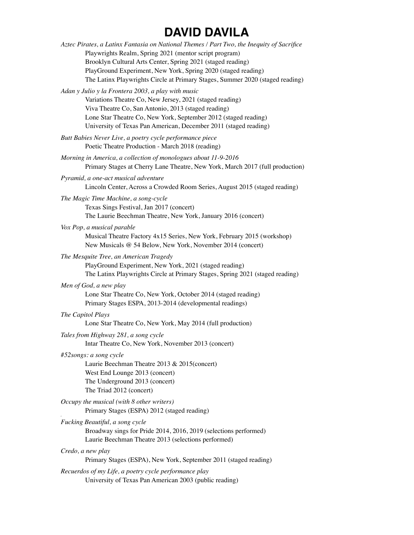| Aztec Pirates, a Latinx Fantasia on National Themes / Part Two, the Inequity of Sacrifice                                                      |  |
|------------------------------------------------------------------------------------------------------------------------------------------------|--|
| Playwrights Realm, Spring 2021 (mentor script program)                                                                                         |  |
| Brooklyn Cultural Arts Center, Spring 2021 (staged reading)                                                                                    |  |
| PlayGround Experiment, New York, Spring 2020 (staged reading)<br>The Latinx Playwrights Circle at Primary Stages, Summer 2020 (staged reading) |  |
|                                                                                                                                                |  |
| Adan y Julio y la Frontera 2003, a play with music                                                                                             |  |
| Variations Theatre Co, New Jersey, 2021 (staged reading)<br>Viva Theatre Co, San Antonio, 2013 (staged reading)                                |  |
| Lone Star Theatre Co, New York, September 2012 (staged reading)                                                                                |  |
| University of Texas Pan American, December 2011 (staged reading)                                                                               |  |
| Butt Babies Never Live, a poetry cycle performance piece<br>Poetic Theatre Production - March 2018 (reading)                                   |  |
| Morning in America, a collection of monologues about 11-9-2016                                                                                 |  |
| Primary Stages at Cherry Lane Theatre, New York, March 2017 (full production)                                                                  |  |
| Pyramid, a one-act musical adventure                                                                                                           |  |
| Lincoln Center, Across a Crowded Room Series, August 2015 (staged reading)                                                                     |  |
| The Magic Time Machine, a song-cycle                                                                                                           |  |
| Texas Sings Festival, Jan 2017 (concert)                                                                                                       |  |
| The Laurie Beechman Theatre, New York, January 2016 (concert)                                                                                  |  |
| Vox Pop, a musical parable                                                                                                                     |  |
| Musical Theatre Factory 4x15 Series, New York, February 2015 (workshop)                                                                        |  |
| New Musicals @ 54 Below, New York, November 2014 (concert)                                                                                     |  |
| The Mesquite Tree, an American Tragedy                                                                                                         |  |
| PlayGround Experiment, New York, 2021 (staged reading)<br>The Latinx Playwrights Circle at Primary Stages, Spring 2021 (staged reading)        |  |
| Men of God, a new play                                                                                                                         |  |
| Lone Star Theatre Co, New York, October 2014 (staged reading)                                                                                  |  |
| Primary Stages ESPA, 2013-2014 (developmental readings)                                                                                        |  |
| The Capitol Plays                                                                                                                              |  |
| Lone Star Theatre Co, New York, May 2014 (full production)                                                                                     |  |
| Tales from Highway 281, a song cycle                                                                                                           |  |
| Intar Theatre Co, New York, November 2013 (concert)                                                                                            |  |
| #52songs: a song cycle                                                                                                                         |  |
| Laurie Beechman Theatre 2013 & 2015(concert)                                                                                                   |  |
| West End Lounge 2013 (concert)                                                                                                                 |  |
| The Underground 2013 (concert)                                                                                                                 |  |
| The Triad 2012 (concert)                                                                                                                       |  |
| Occupy the musical (with 8 other writers)<br>Primary Stages (ESPA) 2012 (staged reading)                                                       |  |
| Fucking Beautiful, a song cycle                                                                                                                |  |
| Broadway sings for Pride 2014, 2016, 2019 (selections performed)<br>Laurie Beechman Theatre 2013 (selections performed)                        |  |
| Credo, a new play                                                                                                                              |  |
| Primary Stages (ESPA), New York, September 2011 (staged reading)                                                                               |  |
| Recuerdos of my Life, a poetry cycle performance play                                                                                          |  |
| University of Texas Pan American 2003 (public reading)                                                                                         |  |
|                                                                                                                                                |  |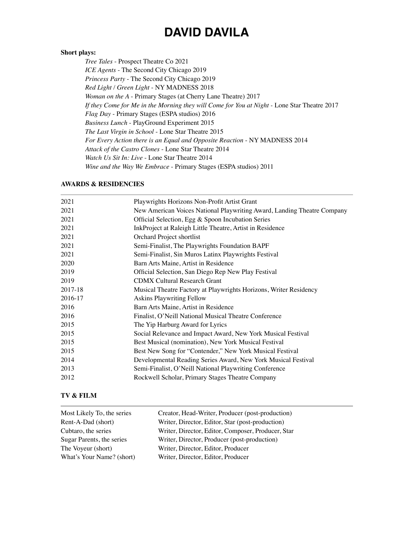#### **Short plays:**

*Tree Tales* - Prospect Theatre Co 2021 *ICE Agents* - The Second City Chicago 2019 *Princess Party* - The Second City Chicago 2019 *Red Light / Green Light* - NY MADNESS 2018 *Woman on the A* - Primary Stages (at Cherry Lane Theatre) 2017 *If they Come for Me in the Morning they will Come for You at Night -* Lone Star Theatre 2017 *Flag Day* - Primary Stages (ESPA studios) 2016 *Business Lunch* - PlayGround Experiment 2015 *The Last Virgin in School* - Lone Star Theatre 2015 *For Every Action there is an Equal and Opposite Reaction* - NY MADNESS 2014 *Attack of the Castro Clones* - Lone Star Theatre 2014 *Watch Us Sit In: Live* - Lone Star Theatre 2014 *Wine and the Way We Embrace* - Primary Stages (ESPA studios) 2011

#### **AWARDS & RESIDENCIES**

| 2021    | Playwrights Horizons Non-Profit Artist Grant                            |
|---------|-------------------------------------------------------------------------|
| 2021    | New American Voices National Playwriting Award, Landing Theatre Company |
| 2021    | Official Selection, Egg & Spoon Incubation Series                       |
| 2021    | InkProject at Raleigh Little Theatre, Artist in Residence               |
| 2021    | Orchard Project shortlist                                               |
| 2021    | Semi-Finalist, The Playwrights Foundation BAPF                          |
| 2021    | Semi-Finalist, Sin Muros Latinx Playwrights Festival                    |
| 2020    | Barn Arts Maine, Artist in Residence                                    |
| 2019    | Official Selection, San Diego Rep New Play Festival                     |
| 2019    | <b>CDMX Cultural Research Grant</b>                                     |
| 2017-18 | Musical Theatre Factory at Playwrights Horizons, Writer Residency       |
| 2016-17 | Askins Playwriting Fellow                                               |
| 2016    | Barn Arts Maine, Artist in Residence                                    |
| 2016    | Finalist, O'Neill National Musical Theatre Conference                   |
| 2015    | The Yip Harburg Award for Lyrics                                        |
| 2015    | Social Relevance and Impact Award, New York Musical Festival            |
| 2015    | Best Musical (nomination), New York Musical Festival                    |
| 2015    | Best New Song for "Contender," New York Musical Festival                |
| 2014    | Developmental Reading Series Award, New York Musical Festival           |
| 2013    | Semi-Finalist, O'Neill National Playwriting Conference                  |
| 2012    | Rockwell Scholar, Primary Stages Theatre Company                        |

#### **TV & FILM**

| Most Likely To, the series | Creator, Head-Writer, Producer (post-production)   |
|----------------------------|----------------------------------------------------|
| Rent-A-Dad (short)         | Writer, Director, Editor, Star (post-production)   |
| Cubtaro, the series        | Writer, Director, Editor, Composer, Producer, Star |
| Sugar Parents, the series  | Writer, Director, Producer (post-production)       |
| The Voyeur (short)         | Writer, Director, Editor, Producer                 |
| What's Your Name? (short)  | Writer, Director, Editor, Producer                 |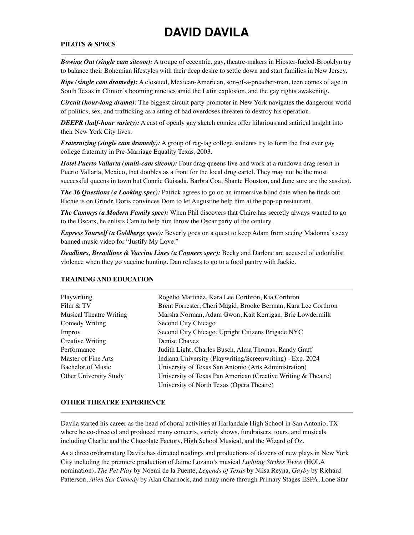#### **PILOTS & SPECS**

*Bowing Out (single cam sitcom):* A troupe of eccentric, gay, theatre-makers in Hipster-fueled-Brooklyn try to balance their Bohemian lifestyles with their deep desire to settle down and start families in New Jersey.

*Ripe (single cam dramedy):* A closeted, Mexican-American, son-of-a-preacher-man, teen comes of age in South Texas in Clinton's booming nineties amid the Latin explosion, and the gay rights awakening.

*Circuit (hour-long drama):* The biggest circuit party promoter in New York navigates the dangerous world of politics, sex, and trafficking as a string of bad overdoses threaten to destroy his operation.

*DEEPR (half-hour variety):* A cast of openly gay sketch comics offer hilarious and satirical insight into their New York City lives.

*Fraternizing (single cam dramedy):* A group of rag-tag college students try to form the first ever gay college fraternity in Pre-Marriage Equality Texas, 2003.

*Hotel Puerto Vallarta (multi-cam sitcom):* Four drag queens live and work at a rundown drag resort in Puerto Vallarta, Mexico, that doubles as a front for the local drug cartel. They may not be the most successful queens in town but Connie Guisada, Barbra Coa, Shante Houston, and June sure are the sassiest.

*The 36 Questions (a Looking spec):* Patrick agrees to go on an immersive blind date when he finds out Richie is on Grindr. Doris convinces Dom to let Augustine help him at the pop-up restaurant.

*The Cammys (a Modern Family spec):* When Phil discovers that Claire has secretly always wanted to go to the Oscars, he enlists Cam to help him throw the Oscar party of the century.

*Express Yourself (a Goldbergs spec):* Beverly goes on a quest to keep Adam from seeing Madonna's sexy banned music video for "Justify My Love."

*Deadlines, Breadlines & Vaccine Lines (a Conners spec):* Becky and Darlene are accused of colonialist violence when they go vaccine hunting. Dan refuses to go to a food pantry with Jackie.

| Playwriting                    | Rogelio Martinez, Kara Lee Corthron, Kia Corthron              |
|--------------------------------|----------------------------------------------------------------|
| Film & TV                      | Brent Forrester, Cheri Magid, Brooke Berman, Kara Lee Corthron |
| <b>Musical Theatre Writing</b> | Marsha Norman, Adam Gwon, Kait Kerrigan, Brie Lowdermilk       |
| Comedy Writing                 | Second City Chicago                                            |
| Improv                         | Second City Chicago, Upright Citizens Brigade NYC              |
| <b>Creative Writing</b>        | Denise Chavez                                                  |
| Performance                    | Judith Light, Charles Busch, Alma Thomas, Randy Graff          |
| Master of Fine Arts            | Indiana University (Playwriting/Screenwriting) - Exp. 2024     |
| Bachelor of Music              | University of Texas San Antonio (Arts Administration)          |
| Other University Study         | University of Texas Pan American (Creative Writing & Theatre)  |
|                                | University of North Texas (Opera Theatre)                      |

### **TRAINING AND EDUCATION**

#### **OTHER THEATRE EXPERIENCE**

Davila started his career as the head of choral activities at Harlandale High School in San Antonio, TX where he co-directed and produced many concerts, variety shows, fundraisers, tours, and musicals including Charlie and the Chocolate Factory, High School Musical, and the Wizard of Oz.

As a director/dramaturg Davila has directed readings and productions of dozens of new plays in New York City including the premiere production of Jaime Lozano's musical *Lighting Strikes Twice* (HOLA nomination), *The Pet Play* by Noemi de la Puente, *Legends of Texas* by Nilsa Reyna, *Gayby* by Richard Patterson, *Alien Sex Comedy* by Alan Charnock, and many more through Primary Stages ESPA, Lone Star